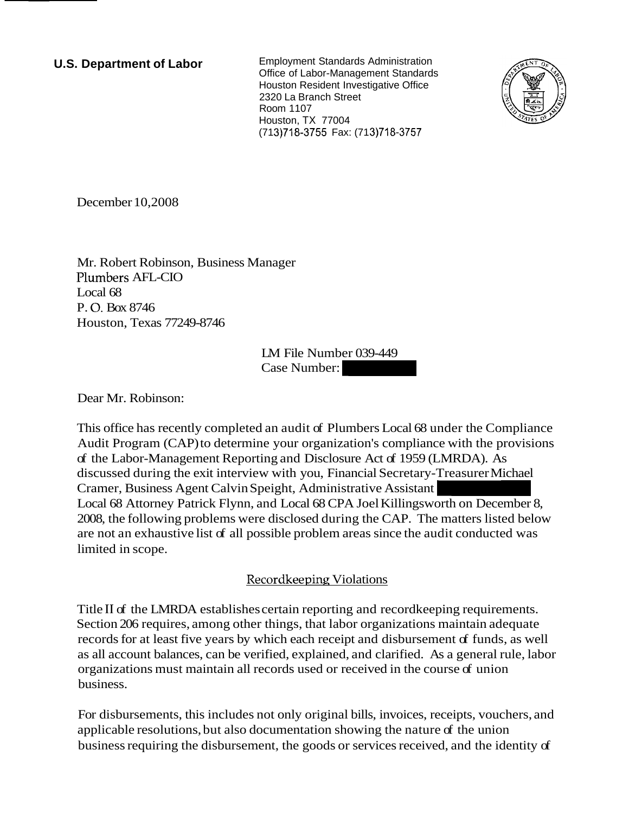**U.S. Department of Labor** Employment Standards Administration Office of Labor-Management Standards Houston Resident Investigative Office 2320 La Branch Street Room 1107 Houston, TX 77004 (71 3)718-3755 Fax: (71 3)718-3757



December 10,2008

Mr. Robert Robinson, Business Manager Plumbers AFL-CIO Local 68 P. 0. Box 8746 Houston, Texas 77249-8746

LM File Number 039-449 anager<br>
IM File Number 039-449<br>
Case Number:

Dear Mr. Robinson:

This office has recently completed an audit of Plumbers Local 68 under the Compliance Audit Program (CAP) to determine your organization's compliance with the provisions of the Labor-Management Reporting and Disclosure Act of 1959 (LMRDA). As discussed during the exit interview with you, Financial Secretary-Treasurer Michael Cramer, Business Agent Calvin Speight, Administrative Local 68 Attorney Patrick Flynn, and Local 68 CPA Joel Killingsworth on December 8, 49<br>
Local 68 under the Compliance<br>
compliance with the provisions<br>
of 1959 (LMRDA). As<br>
Secretary-Treasurer Michael<br>
Assistant<br>
Killingsworth on December 8,<br>
CAP. The matters listed below<br>
mce the audit conducted was 2008, the following problems were disclosed during the CAP. The matters listed below are not an exhaustive list of all possible problem areas since the audit conducted was limited in scope.

# Recordkeeping Violations

Title I1 of the LMRDA establishes certain reporting and recordkeeping requirements. Section 206 requires, among other things, that labor organizations maintain adequate records for at least five years by which each receipt and disbursement of funds, as well as all account balances, can be verified, explained, and clarified. As a general rule, labor organizations must maintain all records used or received in the course of union business.

For disbursements, this includes not only original bills, invoices, receipts, vouchers, and applicable resolutions, but also documentation showing the nature of the union business requiring the disbursement, the goods or services received, and the identity of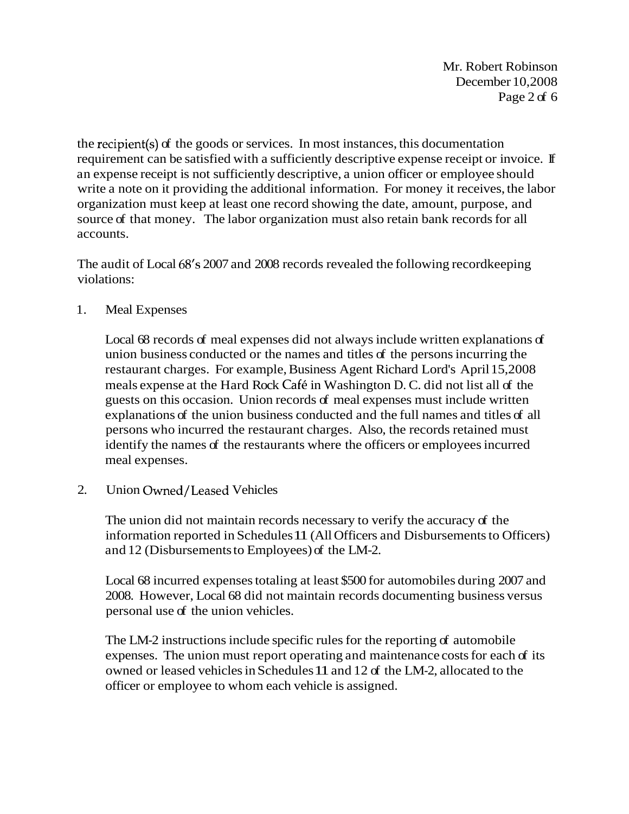Mr. Robert Robinson December 10,2008 Page 2 of 6

the recipient(s) of the goods or services. In most instances, this documentation requirement can be satisfied with a sufficiently descriptive expense receipt or invoice. If an expense receipt is not sufficiently descriptive, a union officer or employee should write a note on it providing the additional information. For money it receives, the labor organization must keep at least one record showing the date, amount, purpose, and source of that money. The labor organization must also retain bank records for all accounts.

The audit of Local 68's 2007 and 2008 records revealed the following recordkeeping violations:

1. Meal Expenses

Local 68 records of meal expenses did not always include written explanations of union business conducted or the names and titles of the persons incurring the restaurant charges. For example, Business Agent Richard Lord's April 15,2008 meals expense at the Hard Rock Cafe in Washington D. C. did not list all of the guests on this occasion. Union records of meal expenses must include written explanations of the union business conducted and the full names and titles of all persons who incurred the restaurant charges. Also, the records retained must identify the names of the restaurants where the officers or employees incurred meal expenses.

2. Union Owned/Leased Vehicles

The union did not maintain records necessary to verify the accuracy of the information reported in Schedules 11 (All Officers and Disbursements to Officers) and 12 (Disbursements to Employees) of the LM-2.

Local 68 incurred expenses totaling at least \$500 for automobiles during 2007 and 2008. However, Local 68 did not maintain records documenting business versus personal use of the union vehicles.

The LM-2 instructions include specific rules for the reporting of automobile expenses. The union must report operating and maintenance costs for each of its owned or leased vehicles in Schedules 11 and 12 of the LM-2, allocated to the officer or employee to whom each vehicle is assigned.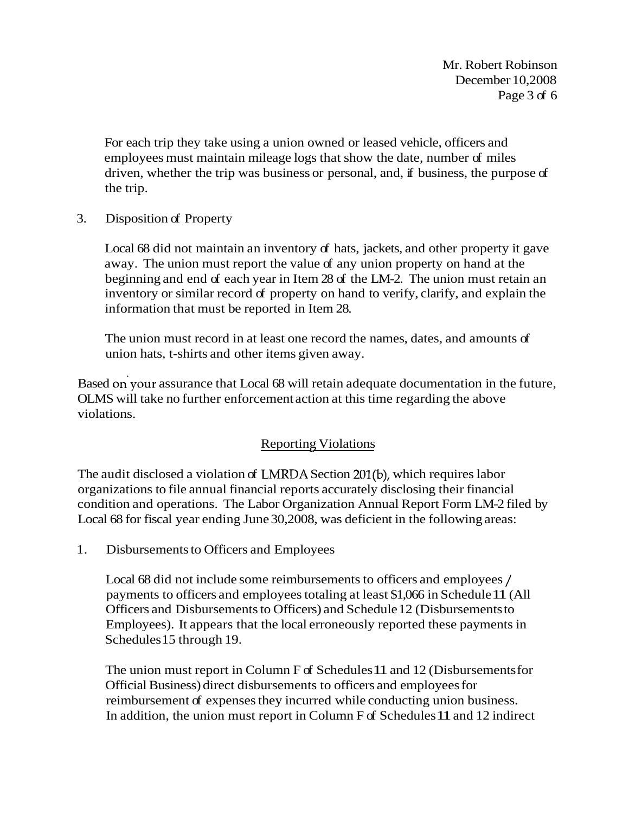Mr. Robert Robinson December 10,2008 Page 3 of 6

For each trip they take using a union owned or leased vehicle, officers and employees must maintain mileage logs that show the date, number of miles driven, whether the trip was business or personal, and, if business, the purpose of the trip.

3. Disposition of Property

Local 68 did not maintain an inventory of hats, jackets, and other property it gave away. The union must report the value of any union property on hand at the beginning and end of each year in Item 28 of the LM-2. The union must retain an inventory or similar record of property on hand to verify, clarify, and explain the information that must be reported in Item 28.

The union must record in at least one record the names, dates, and amounts of union hats, t-shirts and other items given away.

Based on your assurance that Local 68 will retain adequate documentation in the future, OLMS will take no further enforcement action at this time regarding the above violations.

# **Reporting Violations**

The audit disclosed a violation of LNIRDA Section 201(b), which requires labor organizations to file annual financial reports accurately disclosing their financial condition and operations. The Labor Organization Annual Report Form LM-2 filed by Local 68 for fiscal year ending June 30,2008, was deficient in the following areas:

1. Disbursements to Officers and Employees

Local 68 did not include some reimbursements to officers and employees / payments to officers and employees totaling at least \$1,066 in Schedule 11 (All Officers and Disbursements to Officers) and Schedule 12 (Disbursements to Employees). It appears that the local erroneously reported these payments in Schedules 15 through 19.

The union must report in Column F of Schedules 11 and 12 (Disbursements for Official Business) direct disbursements to officers and employees for reimbursement of expenses they incurred while conducting union business. In addition, the union must report in Column F of Schedules 11 and 12 indirect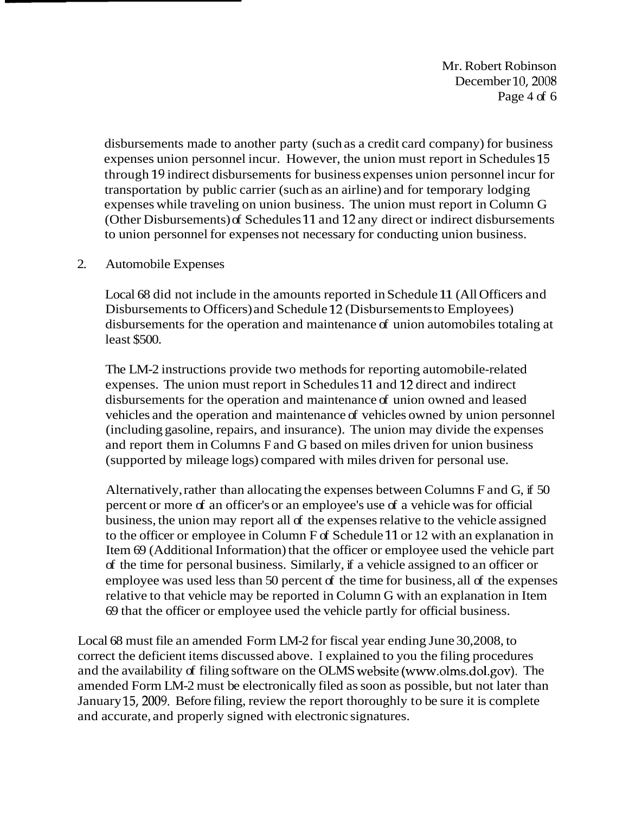Mr. Robert Robinson December 10,2008 Page 4 of 6

disbursements made to another party (such as a credit card company) for business expenses union personnel incur. However, the union must report in Schedules 15 through 19 indirect disbursements for business expenses union personnel incur for transportation by public carrier (such as an airline) and for temporary lodging expenses while traveling on union business. The union must report in Column G (Other Disbursements) of Schedules 11 and 12 any direct or indirect disbursements to union personnel for expenses not necessary for conducting union business.

#### 2. Automobile Expenses

Local 68 did not include in the amounts reported in Schedule 11 (All Officers and Disbursements to Officers) and Schedule 12 (Disbursements to Employees) disbursements for the operation and maintenance of union automobiles totaling at least \$500.

The LM-2 instructions provide two methods for reporting automobile-related expenses. The union must report in Schedules 11 and 12 direct and indirect disbursements for the operation and maintenance of union owned and leased vehicles and the operation and maintenance of vehicles owned by union personnel (including gasoline, repairs, and insurance). The union may divide the expenses and report them in Columns F and G based on miles driven for union business (supported by mileage logs) compared with miles driven for personal use.

Alternatively, rather than allocating the expenses between Columns F and G, if 50 percent or more of an officer's or an employee's use of a vehicle was for official business, the union may report all of the expenses relative to the vehicle assigned to the officer or employee in Column F of Schedule 11 or 12 with an explanation in Item 69 (Additional Information) that the officer or employee used the vehicle part of the time for personal business. Similarly, if a vehicle assigned to an officer or employee was used less than 50 percent of the time for business, all of the expenses relative to that vehicle may be reported in Column G with an explanation in Item 69 that the officer or employee used the vehicle partly for official business.

Local 68 must file an amended Form LM-2 for fiscal year ending June 30,2008, to correct the deficient items discussed above. I explained to you the filing procedures and the availability of filing software on the OLMS website (www.olms.dol.gov). The amended Form LM-2 must be electronically filed as soon as possible, but not later than January 15,2009. Before filing, review the report thoroughly to be sure it is complete and accurate, and properly signed with electronic signatures.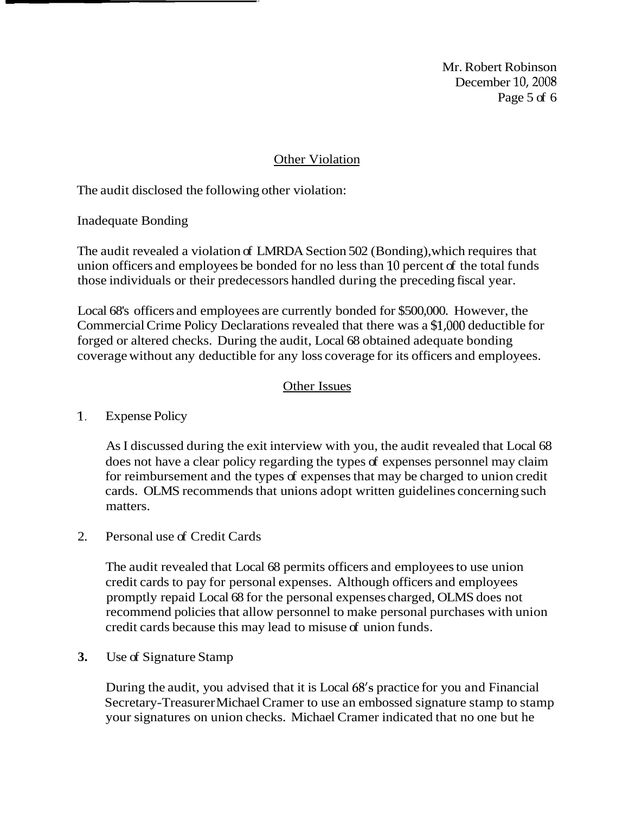Mr. Robert Robinson December 10,2008 Page 5 of 6

### Other Violation

The audit disclosed the following other violation:

Inadequate Bonding

The audit revealed a violation of LMRDA Section 502 (Bonding), which requires that union officers and employees be bonded for no less than 10 percent of the total funds those individuals or their predecessors handled during the preceding fiscal year.

Local 68's officers and employees are currently bonded for \$500,000. However, the Commercial Crime Policy Declarations revealed that there was a \$1,000 deductible for forged or altered checks. During the audit, Local 68 obtained adequate bonding coverage without any deductible for any loss coverage for its officers and employees.

### Other Issues

# 1. Expense Policy

As I discussed during the exit interview with you, the audit revealed that Local 68 does not have a clear policy regarding the types of expenses personnel may claim for reimbursement and the types of expenses that may be charged to union credit cards. OLMS recommends that unions adopt written guidelines concerning such matters.

2. Personal use of Credit Cards

The audit revealed that Local 68 permits officers and employees to use union credit cards to pay for personal expenses. Although officers and employees promptly repaid Local 68 for the personal expenses charged, OLMS does not recommend policies that allow personnel to make personal purchases with union credit cards because this may lead to misuse of union funds.

#### **3.** Use of Signature Stamp

During the audit, you advised that it is Local 68's practice for you and Financial Secretary-Treasurer Michael Cramer to use an embossed signature stamp to stamp your signatures on union checks. Michael Cramer indicated that no one but he